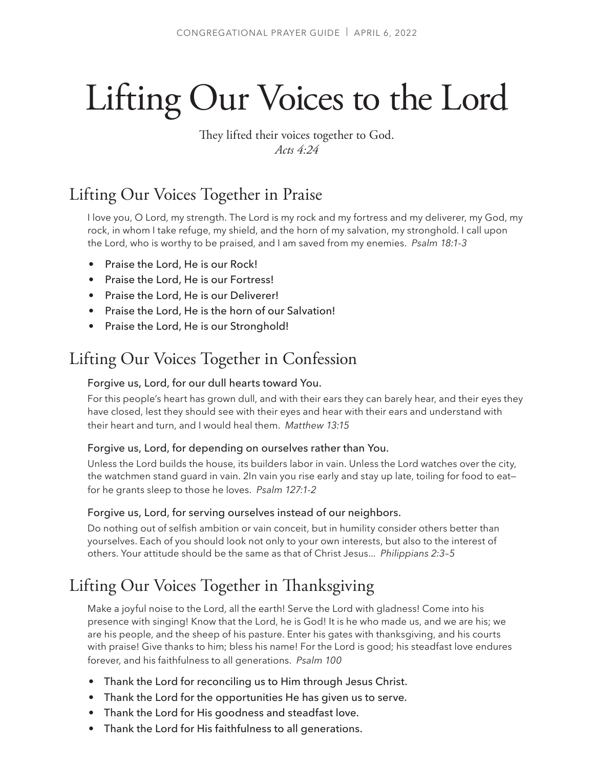# Lifting Our Voices to the Lord

They lifted their voices together to God. *Acts 4:24*

## Lifting Our Voices Together in Praise

I love you, O Lord, my strength. The Lord is my rock and my fortress and my deliverer, my God, my rock, in whom I take refuge, my shield, and the horn of my salvation, my stronghold. I call upon the Lord, who is worthy to be praised, and I am saved from my enemies. *Psalm 18:1-3*

- Praise the Lord, He is our Rock!
- Praise the Lord, He is our Fortress!
- Praise the Lord, He is our Deliverer!
- Praise the Lord, He is the horn of our Salvation!
- Praise the Lord, He is our Stronghold!

## Lifting Our Voices Together in Confession

## Forgive us, Lord, for our dull hearts toward You.

For this people's heart has grown dull, and with their ears they can barely hear, and their eyes they have closed, lest they should see with their eyes and hear with their ears and understand with their heart and turn, and I would heal them. *Matthew 13:15*

### Forgive us, Lord, for depending on ourselves rather than You.

Unless the Lord builds the house, its builders labor in vain. Unless the Lord watches over the city, the watchmen stand guard in vain. 2In vain you rise early and stay up late, toiling for food to eat for he grants sleep to those he loves. *Psalm 127:1-2* 

### Forgive us, Lord, for serving ourselves instead of our neighbors.

Do nothing out of selfish ambition or vain conceit, but in humility consider others better than yourselves. Each of you should look not only to your own interests, but also to the interest of others. Your attitude should be the same as that of Christ Jesus... *Philippians 2:3–5* 

## Lifting Our Voices Together in Thanksgiving

Make a joyful noise to the Lord, all the earth! Serve the Lord with gladness! Come into his presence with singing! Know that the Lord, he is God! It is he who made us, and we are his; we are his people, and the sheep of his pasture. Enter his gates with thanksgiving, and his courts with praise! Give thanks to him; bless his name! For the Lord is good; his steadfast love endures forever, and his faithfulness to all generations. *Psalm 100* 

- Thank the Lord for reconciling us to Him through Jesus Christ.
- Thank the Lord for the opportunities He has given us to serve.
- Thank the Lord for His goodness and steadfast love.
- Thank the Lord for His faithfulness to all generations.